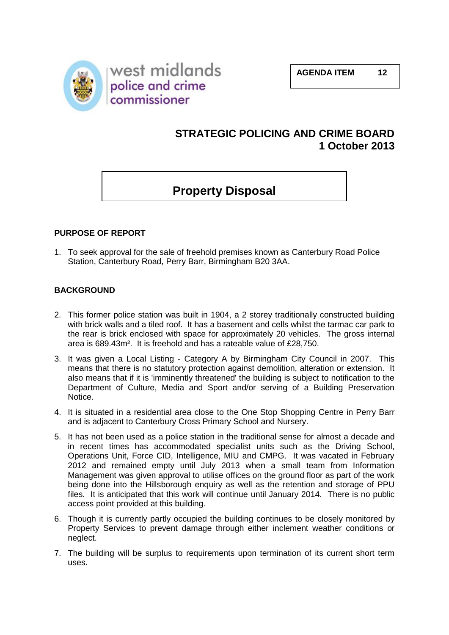

# **STRATEGIC POLICING AND CRIME BOARD 1 October 2013**

# **Property Disposal**

# **PURPOSE OF REPORT**

1. To seek approval for the sale of freehold premises known as Canterbury Road Police Station, Canterbury Road, Perry Barr, Birmingham B20 3AA.

#### **BACKGROUND**

- 2. This former police station was built in 1904, a 2 storey traditionally constructed building with brick walls and a tiled roof. It has a basement and cells whilst the tarmac car park to the rear is brick enclosed with space for approximately 20 vehicles. The gross internal area is 689.43m². It is freehold and has a rateable value of £28,750.
- 3. It was given a Local Listing Category A by Birmingham City Council in 2007. This means that there is no statutory protection against demolition, alteration or extension. It also means that if it is 'imminently threatened' the building is subject to notification to the Department of Culture, Media and Sport and/or serving of a Building Preservation Notice.
- 4. It is situated in a residential area close to the One Stop Shopping Centre in Perry Barr and is adjacent to Canterbury Cross Primary School and Nursery.
- 5. It has not been used as a police station in the traditional sense for almost a decade and in recent times has accommodated specialist units such as the Driving School, Operations Unit, Force CID, Intelligence, MIU and CMPG. It was vacated in February 2012 and remained empty until July 2013 when a small team from Information Management was given approval to utilise offices on the ground floor as part of the work being done into the Hillsborough enquiry as well as the retention and storage of PPU files. It is anticipated that this work will continue until January 2014. There is no public access point provided at this building.
- 6. Though it is currently partly occupied the building continues to be closely monitored by Property Services to prevent damage through either inclement weather conditions or neglect.
- 7. The building will be surplus to requirements upon termination of its current short term uses.